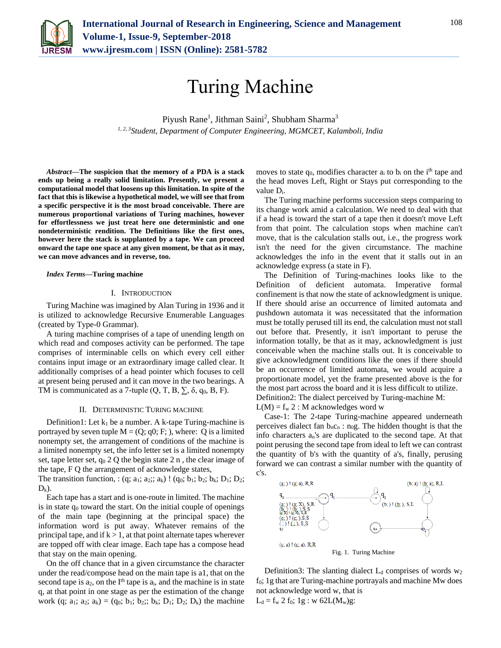

# Turing Machine

Piyush Rane<sup>1</sup>, Jithman Saini<sup>2</sup>, Shubham Sharma<sup>3</sup> *1, 2, 3Student, Department of Computer Engineering, MGMCET, Kalamboli, India*

*Abstract***—The suspicion that the memory of a PDA is a stack ends up being a really solid limitation. Presently, we present a computational model that loosens up this limitation. In spite of the fact that this is likewise a hypothetical model, we will see that from a specific perspective it is the most broad conceivable. There are numerous proportional variations of Turing machines, however for effortlessness we just treat here one deterministic and one nondeterministic rendition. The Definitions like the first ones, however here the stack is supplanted by a tape. We can proceed onward the tape one space at any given moment, be that as it may, we can move advances and in reverse, too.**

#### *Index Terms***—Turing machine**

### I. INTRODUCTION

Turing Machine was imagined by Alan Turing in 1936 and it is utilized to acknowledge Recursive Enumerable Languages (created by Type-0 Grammar).

A turing machine comprises of a tape of unending length on which read and composes activity can be performed. The tape comprises of interminable cells on which every cell either contains input image or an extraordinary image called clear. It additionally comprises of a head pointer which focuses to cell at present being perused and it can move in the two bearings. A TM is communicated as a 7-tuple  $(Q, T, B, \Sigma, \delta, q_0, B, F)$ .

### II. DETERMINISTIC TURING MACHINE

Definition1: Let  $k_1$  be a number. A k-tape Turing-machine is portrayed by seven tuple  $M = (Q; q0; F; )$ , where: Q is a limited nonempty set, the arrangement of conditions of the machine is a limited nonempty set, the info letter set is a limited nonempty set, tape letter set,  $q_0$  2 Q the begin state 2 n, the clear image of the tape, F Q the arrangement of acknowledge states,

The transition function, :  $(q; a_1; a_2; a_k)$ !  $(q_0; b_1; b_2; b_k; D_1; D_2;$  $D_k$ ).

Each tape has a start and is one-route in limited. The machine is in state  $q_0$  toward the start. On the initial couple of openings of the main tape (beginning at the principal space) the information word is put away. Whatever remains of the principal tape, and if  $k > 1$ , at that point alternate tapes wherever are topped off with clear image. Each tape has a compose head that stay on the main opening.

On the off chance that in a given circumstance the character under the read/compose head on the main tape is a1, that on the second tape is  $a_2$ , on the I<sup>th</sup> tape is  $a_i$ , and the machine is in state q, at that point in one stage as per the estimation of the change work (q; a<sub>1</sub>; a<sub>2</sub>; a<sub>k</sub>) = (q<sub>0</sub>; b<sub>1</sub>; b<sub>2</sub>); b<sub>k</sub>; D<sub>1</sub>; D<sub>2</sub>; D<sub>k</sub>) the machine

moves to state  $q_0$ , modifies character  $a_i$  to  $b_i$  on the i<sup>th</sup> tape and the head moves Left, Right or Stays put corresponding to the value Di.

The Turing machine performs succession steps comparing to its change work amid a calculation. We need to deal with that if a head is toward the start of a tape then it doesn't move Left from that point. The calculation stops when machine can't move, that is the calculation stalls out, i.e., the progress work isn't the need for the given circumstance. The machine acknowledges the info in the event that it stalls out in an acknowledge express (a state in F).

The Definition of Turing-machines looks like to the Definition of deficient automata. Imperative formal confinement is that now the state of acknowledgment is unique. If there should arise an occurrence of limited automata and pushdown automata it was necessitated that the information must be totally perused till its end, the calculation must not stall out before that. Presently, it isn't important to peruse the information totally, be that as it may, acknowledgment is just conceivable when the machine stalls out. It is conceivable to give acknowledgment conditions like the ones if there should be an occurrence of limited automata, we would acquire a proportionate model, yet the frame presented above is the for the most part across the board and it is less difficult to utilize. Definition2: The dialect perceived by Turing-machine M:

 $L(M) = f_w 2$ : M acknowledges word w

Case-1: The 2-tape Turing-machine appeared underneath perceives dialect fan  $b_n c_n : n_0 g$ . The hidden thought is that the info characters an's are duplicated to the second tape. At that point perusing the second tape from ideal to left we can contrast the quantity of b's with the quantity of a's, finally, perusing forward we can contrast a similar number with the quantity of c's.



Definition3: The slanting dialect  $L_d$  comprises of words  $w_2$ f0; 1g that are Turing-machine portrayals and machine Mw does not acknowledge word w, that is  $L_d = f_w 2 f_0$ ; 1g : w 62L(M<sub>w</sub>)g: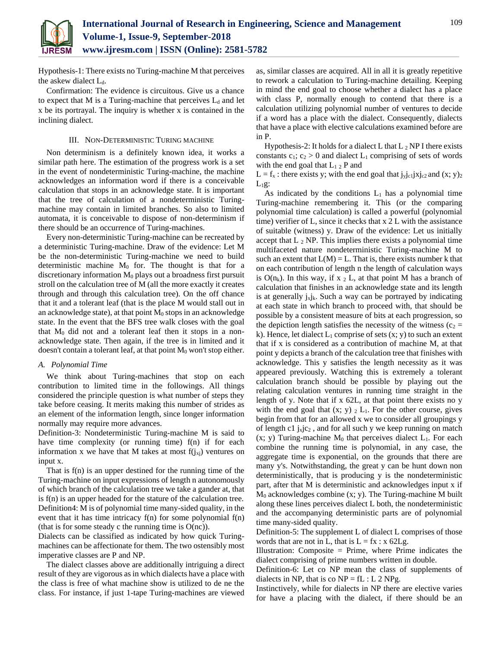

Hypothesis-1: There exists no Turing-machine M that perceives the askew dialect  $L_d$ .

Confirmation: The evidence is circuitous. Give us a chance to expect that M is a Turing-machine that perceives  $L_d$  and let x be its portrayal. The inquiry is whether x is contained in the inclining dialect.

## III. NON-DETERMINISTIC TURING MACHINE

Non determinism is a definitely known idea, it works a similar path here. The estimation of the progress work is a set in the event of nondeterministic Turing-machine, the machine acknowledges an information word if there is a conceivable calculation that stops in an acknowledge state. It is important that the tree of calculation of a nondeterministic Turingmachine may contain in limited branches. So also to limited automata, it is conceivable to dispose of non-determinism if there should be an occurrence of Turing-machines.

Every non-deterministic Turing-machine can be recreated by a deterministic Turing-machine. Draw of the evidence: Let M be the non-deterministic Turing-machine we need to build deterministic machine  $M_0$  for. The thought is that for a discretionary information  $M_0$  plays out a broadness first pursuit stroll on the calculation tree of M (all the more exactly it creates through and through this calculation tree). On the off chance that it and a tolerant leaf (that is the place M would stall out in an acknowledge state), at that point  $M_0$  stops in an acknowledge state. In the event that the BFS tree walk closes with the goal that  $M_0$  did not and a tolerant leaf then it stops in a nonacknowledge state. Then again, if the tree is in limited and it doesn't contain a tolerant leaf, at that point  $M_0$  won't stop either.

## *A. Polynomial Time*

We think about Turing-machines that stop on each contribution to limited time in the followings. All things considered the principle question is what number of steps they take before ceasing. It merits making this number of strides as an element of the information length, since longer information normally may require more advances.

Definition-3: Nondeterministic Turing-machine M is said to have time complexity (or running time) f(n) if for each information x we have that M takes at most  $f(i_{xi})$  ventures on input x.

That is f(n) is an upper destined for the running time of the Turing-machine on input expressions of length n autonomously of which branch of the calculation tree we take a gander at, that is f(n) is an upper headed for the stature of the calculation tree. Definition4: M is of polynomial time many-sided quality, in the event that it has time intricacy f(n) for some polynomial f(n) (that is for some steady c the running time is  $O(nc)$ ).

Dialects can be classified as indicated by how quick Turingmachines can be affectionate for them. The two ostensibly most imperative classes are P and NP.

The dialect classes above are additionally intriguing a direct result of they are vigorous as in which dialects have a place with the class is free of what machine show is utilized to de ne the class. For instance, if just 1-tape Turing-machines are viewed

as, similar classes are acquired. All in all it is greatly repetitive to rework a calculation to Turing-machine detailing. Keeping in mind the end goal to choose whether a dialect has a place with class P, normally enough to contend that there is a calculation utilizing polynomial number of ventures to decide if a word has a place with the dialect. Consequently, dialects that have a place with elective calculations examined before are in P.

Hypothesis-2: It holds for a dialect L that  $L_2$  NP I there exists constants  $c_1$ ;  $c_2 > 0$  and dialect  $L_1$  comprising of sets of words with the end goal that  $L_1$   $_2$  P and

 $L = f_x$ : there exists y; with the end goal that  $j_{y}j_{c1}j_{c2}$  and  $(x; y)_2$  $L_1g$ :

As indicated by the conditions  $L_1$  has a polynomial time Turing-machine remembering it. This (or the comparing polynomial time calculation) is called a powerful (polynomial time) verifier of L, since it checks that x 2 L with the assistance of suitable (witness) y. Draw of the evidence: Let us initially accept that  $L_2$  NP. This implies there exists a polynomial time multifaceted nature nondeterministic Turing-machine M to such an extent that  $L(M) = L$ . That is, there exists number k that on each contribution of length n the length of calculation ways is  $O(n_k)$ . In this way, if x  $_2$  L, at that point M has a branch of calculation that finishes in an acknowledge state and its length is at generally  $j_xj_k$ . Such a way can be portrayed by indicating at each state in which branch to proceed with, that should be possible by a consistent measure of bits at each progression, so the depiction length satisfies the necessity of the witness ( $c_2$  = k). Hence, let dialect  $L_1$  comprise of sets  $(x, y)$  to such an extent that if x is considered as a contribution of machine M, at that point y depicts a branch of the calculation tree that finishes with acknowledge. This y satisfies the length necessity as it was appeared previously. Watching this is extremely a tolerant calculation branch should be possible by playing out the relating calculation ventures in running time straight in the length of y. Note that if x 62L, at that point there exists no y with the end goal that  $(x; y)$   $_2$   $L_1$ . For the other course, gives begin from that for an allowed x we to consider all groupings y of length c1  $i_x$ jc<sub>2</sub>, and for all such y we keep running on match  $(x; y)$  Turing-machine M<sub>0</sub> that perceives dialect L<sub>1</sub>. For each combine the running time is polynomial, in any case, the aggregate time is exponential, on the grounds that there are many y's. Notwithstanding, the great y can be hunt down non deterministically, that is producing y is the nondeterministic part, after that M is deterministic and acknowledges input x if  $M<sub>0</sub>$  acknowledges combine  $(x, y)$ . The Turing-machine M built along these lines perceives dialect L both, the nondeterministic and the accompanying deterministic parts are of polynomial time many-sided quality.

Definition-5: The supplement L of dialect L comprises of those words that are not in L, that is  $L = fx : x 62Lg$ .

Illustration: Composite  $=$  Prime, where Prime indicates the dialect comprising of prime numbers written in double.

Definition-6: Let co NP mean the class of supplements of dialects in NP, that is co  $NP = fL : L 2 NPg$ .

Instinctively, while for dialects in NP there are elective varies for have a placing with the dialect, if there should be an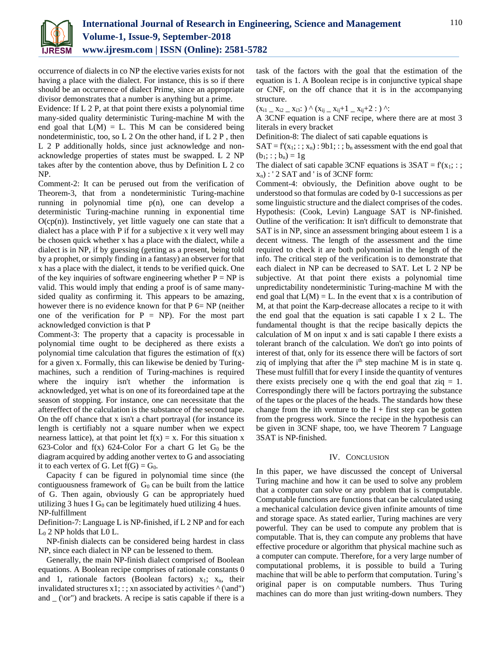

occurrence of dialects in co NP the elective varies exists for not having a place with the dialect. For instance, this is so if there should be an occurrence of dialect Prime, since an appropriate divisor demonstrates that a number is anything but a prime.

Evidence: If L 2 P, at that point there exists a polynomial time many-sided quality deterministic Turing-machine M with the end goal that  $L(M) = L$ . This M can be considered being nondeterministic, too, so L 2 On the other hand, if L 2 P , then L 2 P additionally holds, since just acknowledge and nonacknowledge properties of states must be swapped. L 2 NP takes after by the contention above, thus by Definition L 2 co NP.

Comment-2: It can be perused out from the verification of Theorem-3, that from a nondeterministic Turing-machine running in polynomial time p(n), one can develop a deterministic Turing-machine running in exponential time  $O(cp(n))$ . Instinctively, yet little vaguely one can state that a dialect has a place with P if for a subjective x it very well may be chosen quick whether x has a place with the dialect, while a dialect is in NP, if by guessing (getting as a present, being told by a prophet, or simply finding in a fantasy) an observer for that x has a place with the dialect, it tends to be verified quick. One of the key inquiries of software engineering whether  $P = NP$  is valid. This would imply that ending a proof is of same manysided quality as confirming it. This appears to be amazing, however there is no evidence known for that  $P_0 = NP_1$  (neither one of the verification for  $P = NP$ ). For the most part acknowledged conviction is that P

Comment-3: The property that a capacity is processable in polynomial time ought to be deciphered as there exists a polynomial time calculation that figures the estimation of  $f(x)$ for a given x. Formally, this can likewise be denied by Turingmachines, such a rendition of Turing-machines is required where the inquiry isn't whether the information is acknowledged, yet what is on one of its foreordained tape at the season of stopping. For instance, one can necessitate that the aftereffect of the calculation is the substance of the second tape. On the off chance that x isn't a chart portrayal (for instance its length is certifiably not a square number when we expect nearness lattice), at that point let  $f(x) = x$ . For this situation x 623-Color and  $f(x)$  624-Color For a chart G let  $G_0$  be the diagram acquired by adding another vertex to G and associating it to each vertex of G. Let  $f(G) = G_0$ .

Capacity f can be figured in polynomial time since (the contiguousness framework of  $G_0$  can be built from the lattice of G. Then again, obviously G can be appropriately hued utilizing 3 hues I  $G_0$  can be legitimately hued utilizing 4 hues. NP-fulfillment

Definition-7: Language L is NP-finished, if L 2 NP and for each  $L_0$  2 NP holds that L0 L.

NP-finish dialects can be considered being hardest in class NP, since each dialect in NP can be lessened to them.

Generally, the main NP-finish dialect comprised of Boolean equations. A Boolean recipe comprises of rationale constants 0 and 1, rationale factors (Boolean factors)  $x_1$ ;  $x_n$ , their invalidated structures  $x1$ ; : ; xn associated by activities  $\land$  (\and") and  $\lfloor$  (\or") and brackets. A recipe is satis capable if there is a

task of the factors with the goal that the estimation of the equation is 1. A Boolean recipe is in conjunctive typical shape or CNF, on the off chance that it is in the accompanying structure.

 $(x_{i1} - x_{i2} - x_{i3}) \wedge (x_{ij} - x_{ij} + 1 - x_{ij} + 2 :)$  ^:

A 3CNF equation is a CNF recipe, where there are at most 3 literals in every bracket

Definition-8: The dialect of sati capable equations is

 $SAT = f(x_1; :; x_n) : 9b1; :; b_n$  assessment with the end goal that  $(b_1; : ; b_n) = 1g$ 

The dialect of sati capable 3CNF equations is  $3SAT = f(x_1; :;$  $x_n$ ) : ' 2 SAT and ' is of 3CNF form:

Comment-4: obviously, the Definition above ought to be understood so that formulas are coded by 0-1 successions as per some linguistic structure and the dialect comprises of the codes. Hypothesis: (Cook, Levin) Language SAT is NP-finished. Outline of the verification: It isn't difficult to demonstrate that SAT is in NP, since an assessment bringing about esteem 1 is a decent witness. The length of the assessment and the time required to check it are both polynomial in the length of the info. The critical step of the verification is to demonstrate that each dialect in NP can be decreased to SAT. Let L 2 NP be subjective. At that point there exists a polynomial time unpredictability nondeterministic Turing-machine M with the end goal that  $L(M) = L$ . In the event that x is a contribution of M, at that point the Karp-decrease allocates a recipe to it with the end goal that the equation is sati capable I x 2 L. The fundamental thought is that the recipe basically depicts the calculation of M on input x and is sati capable I there exists a tolerant branch of the calculation. We don't go into points of interest of that, only for its essence there will be factors of sort ziq of implying that after the  $i<sup>th</sup>$  step machine M is in state q. These must fulfill that for every I inside the quantity of ventures there exists precisely one q with the end goal that  $ziq = 1$ . Correspondingly there will be factors portraying the substance of the tapes or the places of the heads. The standards how these change from the ith venture to the  $I +$  first step can be gotten from the progress work. Since the recipe in the hypothesis can be given in 3CNF shape, too, we have Theorem 7 Language 3SAT is NP-finished.

# IV. CONCLUSION

In this paper, we have discussed the concept of Universal Turing machine and how it can be used to solve any problem that a computer can solve or any problem that is computable. Computable functions are functions that can be calculated using a mechanical calculation device given infinite amounts of time and storage space. As stated earlier, Turing machines are very powerful. They can be used to compute any problem that is computable. That is, they can compute any problems that have effective procedure or algorithm that physical machine such as a computer can compute. Therefore, for a very large number of computational problems, it is possible to build a Turing machine that will be able to perform that computation. Turing's original paper is on computable numbers. Thus Turing machines can do more than just writing-down numbers. They